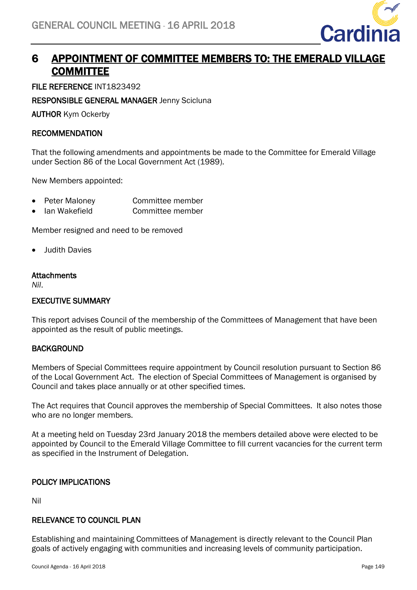

# 6 APPOINTMENT OF COMMITTEE MEMBERS TO: THE EMERALD VILLAGE **COMMITTEE**

FILE REFERENCE INT1823492

RESPONSIBLE GENERAL MANAGER Jenny Scicluna

AUTHOR Kym Ockerby

### RECOMMENDATION

That the following amendments and appointments be made to the Committee for Emerald Village under Section 86 of the Local Government Act (1989).

New Members appointed:

- Peter Maloney **Committee member**
- Ian Wakefield Committee member

Member resigned and need to be removed

• Judith Davies

#### **Attachments**

*Nil*.

## EXECUTIVE SUMMARY

This report advises Council of the membership of the Committees of Management that have been appointed as the result of public meetings.

## **BACKGROUND**

Members of Special Committees require appointment by Council resolution pursuant to Section 86 of the Local Government Act. The election of Special Committees of Management is organised by Council and takes place annually or at other specified times.

The Act requires that Council approves the membership of Special Committees. It also notes those who are no longer members.

At a meeting held on Tuesday 23rd January 2018 the members detailed above were elected to be appointed by Council to the Emerald Village Committee to fill current vacancies for the current term as specified in the Instrument of Delegation.

## POLICY IMPLICATIONS

Nil

#### RELEVANCE TO COUNCIL PLAN

Establishing and maintaining Committees of Management is directly relevant to the Council Plan goals of actively engaging with communities and increasing levels of community participation.